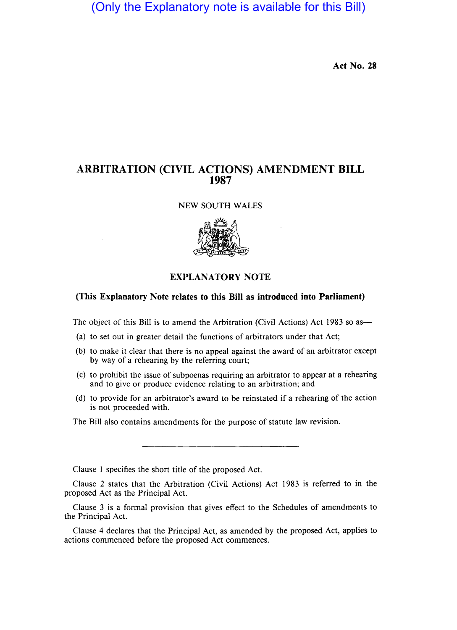(Only the Explanatory note is available for this Bill)

Act No. 28

## ARBITRATION (CIVIL ACTIONS) AMENDMENT BILL 1987

NEW SOUTH WALES



## EXPLANATORY NOTE

## (This Explanatory Note relates to this Bill as introduced into Parliament)

The object of this Bill is to amend the Arbitration (Civil Actions) Act 1983 so as-

- (a) to set out in greater detail the functions of arbitrators under that Act;
- (b) to make it clear that there is no appeal against the award of an arbitrator except by way of a rehearing by the referring court;
- (c) to prohibit the issue of subpoenas requiring an arbitrator to appear at a rehearing and to give or produce evidence relating to an arbitration; and
- (d) to provide for an arbitrator's award to be reinstated if a rehearing of the action is not proceeded with.

The Bill also contains amendments for the purpose of statute law revision.

Clause I specifies the short title of the proposed Act.

Clause 2 states that the Arbitration (Civil Actions) Act 1983 is referred to in the proposed Act as the Principal Act.

Clause 3 is a formal provision that gives effect to the Schedules of amendments to the Principal Act.

Clause 4 declares that the Principal Act, as amended by the proposed Act, applies to actions commenced before the proposed Act commences.